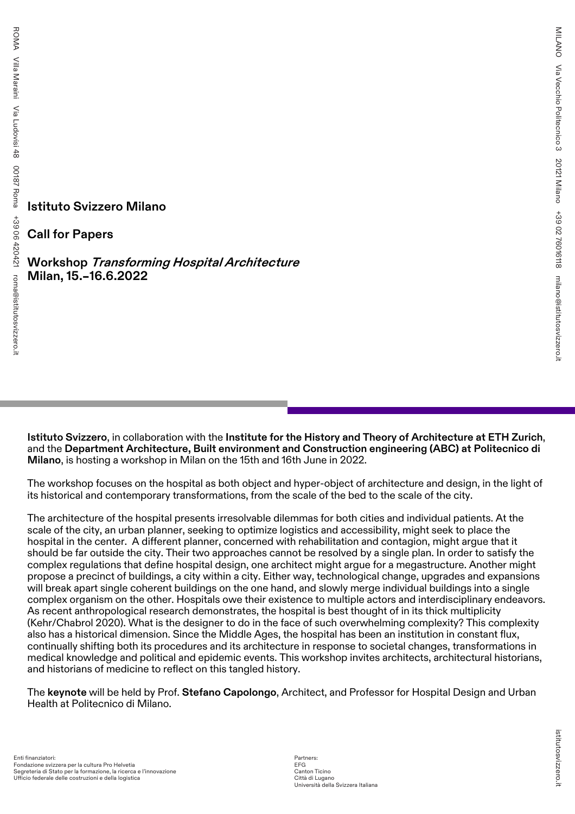**Istituto Svizzero Milano**

**Call for Papers**

**Workshop Transforming Hospital Architecture Milan, 15.–16.6.2022**

**Istituto Svizzero**, in collaboration with the **Institute for the History and Theory of Architecture at ETH Zurich**, and the **Department Architecture, Built environment and Construction engineering (ABC) at Politecnico di Milano**, is hosting a workshop in Milan on the 15th and 16th June in 2022.

The workshop focuses on the hospital as both object and hyper-object of architecture and design, in the light of its historical and contemporary transformations, from the scale of the bed to the scale of the city.

The architecture of the hospital presents irresolvable dilemmas for both cities and individual patients. At the scale of the city, an urban planner, seeking to optimize logistics and accessibility, might seek to place the hospital in the center. A different planner, concerned with rehabilitation and contagion, might argue that it should be far outside the city. Their two approaches cannot be resolved by a single plan. In order to satisfy the complex regulations that define hospital design, one architect might argue for a megastructure. Another might propose a precinct of buildings, a city within a city. Either way, technological change, upgrades and expansions will break apart single coherent buildings on the one hand, and slowly merge individual buildings into a single complex organism on the other. Hospitals owe their existence to multiple actors and interdisciplinary endeavors. As recent anthropological research demonstrates, the hospital is best thought of in its thick multiplicity (Kehr/Chabrol 2020). What is the designer to do in the face of such overwhelming complexity? This complexity also has a historical dimension. Since the Middle Ages, the hospital has been an institution in constant flux, continually shifting both its procedures and its architecture in response to societal changes, transformations in medical knowledge and political and epidemic events. This workshop invites architects, architectural historians, and historians of medicine to reflect on this tangled history.

The **keynote** will be held by Prof. **Stefano Capolongo**, Architect, and Professor for Hospital Design and Urban Health at Politecnico di Milano.

Partners: EFG Canton Ticino Città di Lugano Università della Svizzera Italiana